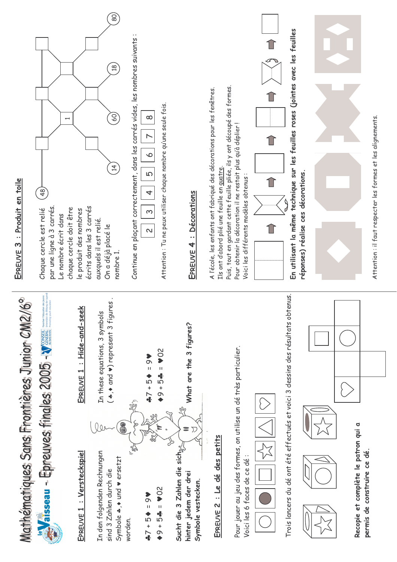